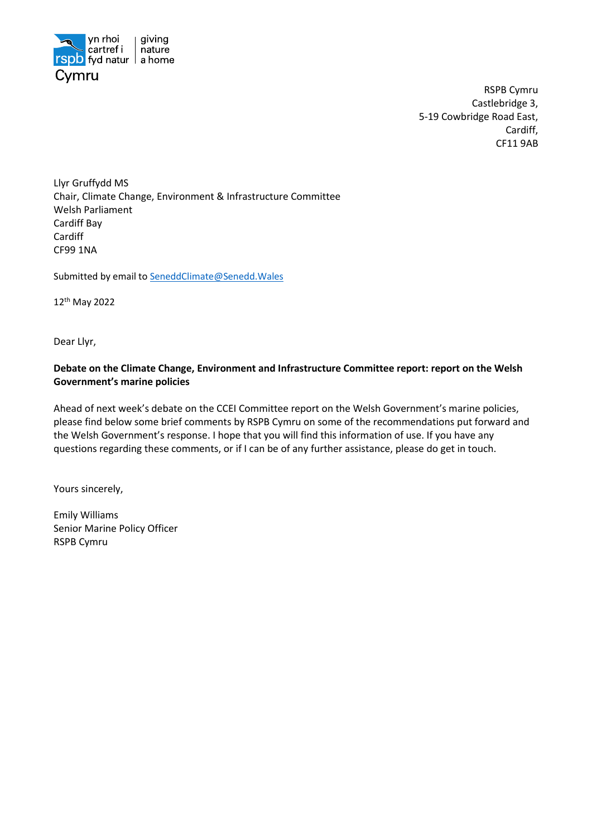

RSPB Cymru Castlebridge 3, 5-19 Cowbridge Road East, Cardiff, CF11 9AB

Llyr Gruffydd MS Chair, Climate Change, Environment & Infrastructure Committee Welsh Parliament   Cardiff Bay   Cardiff CF99 1NA 

Submitted by email t[o SeneddClimate@Senedd.Wales](mailto:SeneddClimate@Senedd.Wales)

12th May 2022

Dear Llyr,

# **Debate on the Climate Change, Environment and Infrastructure Committee report: report on the Welsh Government's marine policies**

Ahead of next week's debate on the CCEI Committee report on the Welsh Government's marine policies, please find below some brief comments by RSPB Cymru on some of the recommendations put forward and the Welsh Government's response. I hope that you will find this information of use. If you have any questions regarding these comments, or if I can be of any further assistance, please do get in touch.

Yours sincerely,

Emily Williams Senior Marine Policy Officer RSPB Cymru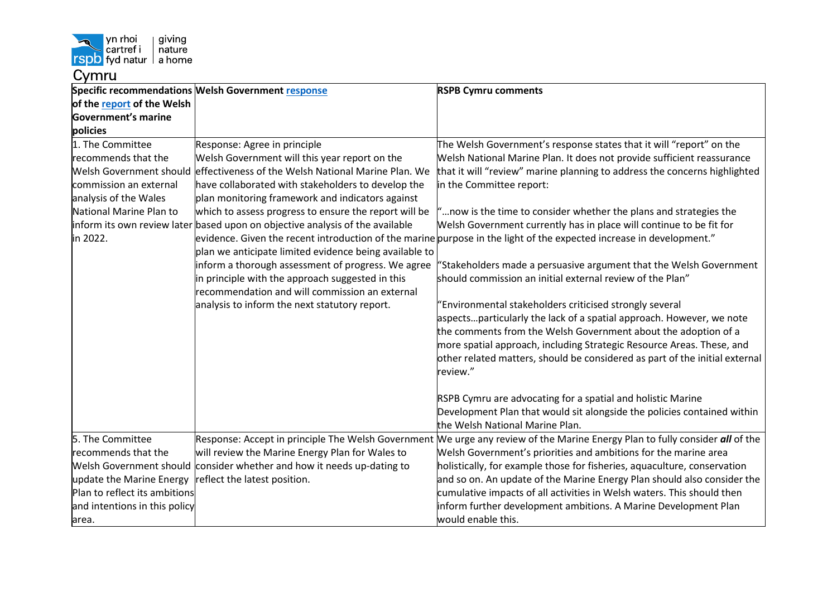

|                               | Specific recommendations Welsh Government response                            | <b>RSPB Cymru comments</b>                                                                                           |
|-------------------------------|-------------------------------------------------------------------------------|----------------------------------------------------------------------------------------------------------------------|
| of the report of the Welsh    |                                                                               |                                                                                                                      |
| Government's marine           |                                                                               |                                                                                                                      |
| policies                      |                                                                               |                                                                                                                      |
| 1. The Committee              | Response: Agree in principle                                                  | The Welsh Government's response states that it will "report" on the                                                  |
| recommends that the           | Welsh Government will this year report on the                                 | Welsh National Marine Plan. It does not provide sufficient reassurance                                               |
|                               | Welsh Government should effectiveness of the Welsh National Marine Plan. We   | that it will "review" marine planning to address the concerns highlighted                                            |
| commission an external        | have collaborated with stakeholders to develop the                            | in the Committee report:                                                                                             |
| analysis of the Wales         | plan monitoring framework and indicators against                              |                                                                                                                      |
| National Marine Plan to       | which to assess progress to ensure the report will be                         | " now is the time to consider whether the plans and strategies the                                                   |
|                               | inform its own review later based upon on objective analysis of the available | Welsh Government currently has in place will continue to be fit for                                                  |
| in 2022.                      |                                                                               | evidence. Given the recent introduction of the marine purpose in the light of the expected increase in development." |
|                               | plan we anticipate limited evidence being available to                        |                                                                                                                      |
|                               | inform a thorough assessment of progress. We agree                            | "Stakeholders made a persuasive argument that the Welsh Government                                                   |
|                               | in principle with the approach suggested in this                              | should commission an initial external review of the Plan"                                                            |
|                               | recommendation and will commission an external                                |                                                                                                                      |
|                               | analysis to inform the next statutory report.                                 | 'Environmental stakeholders criticised strongly several                                                              |
|                               |                                                                               | aspectsparticularly the lack of a spatial approach. However, we note                                                 |
|                               |                                                                               | the comments from the Welsh Government about the adoption of a                                                       |
|                               |                                                                               | more spatial approach, including Strategic Resource Areas. These, and                                                |
|                               |                                                                               | other related matters, should be considered as part of the initial external                                          |
|                               |                                                                               | review."                                                                                                             |
|                               |                                                                               |                                                                                                                      |
|                               |                                                                               | RSPB Cymru are advocating for a spatial and holistic Marine                                                          |
|                               |                                                                               | Development Plan that would sit alongside the policies contained within                                              |
|                               |                                                                               | the Welsh National Marine Plan.                                                                                      |
| 5. The Committee              | Response: Accept in principle The Welsh Government                            | We urge any review of the Marine Energy Plan to fully consider all of the                                            |
| recommends that the           | will review the Marine Energy Plan for Wales to                               | Welsh Government's priorities and ambitions for the marine area                                                      |
|                               | Welsh Government should consider whether and how it needs up-dating to        | holistically, for example those for fisheries, aquaculture, conservation                                             |
| update the Marine Energy      | reflect the latest position.                                                  | and so on. An update of the Marine Energy Plan should also consider the                                              |
| Plan to reflect its ambitions |                                                                               | cumulative impacts of all activities in Welsh waters. This should then                                               |
| and intentions in this policy |                                                                               | inform further development ambitions. A Marine Development Plan                                                      |
| area.                         |                                                                               | would enable this.                                                                                                   |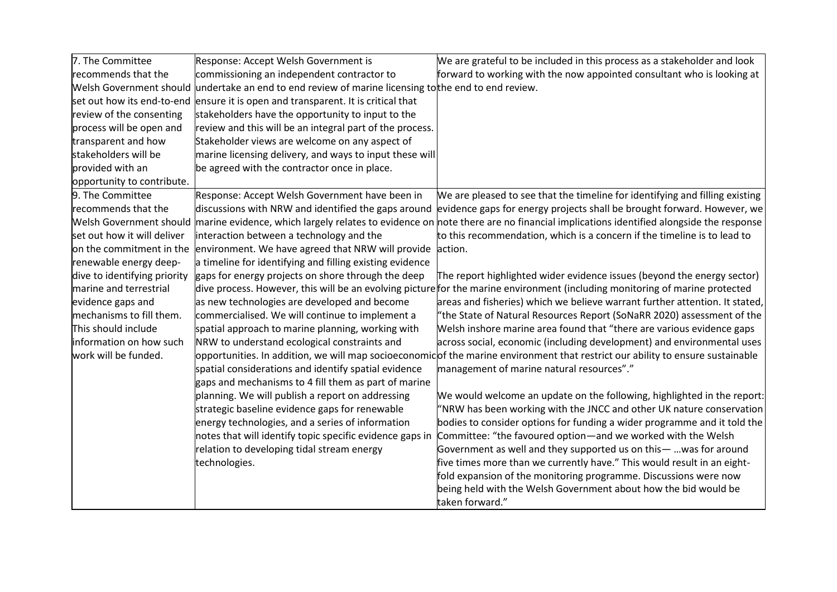| 7. The Committee               | Response: Accept Welsh Government is                                        | We are grateful to be included in this process as a stakeholder and look                                                         |
|--------------------------------|-----------------------------------------------------------------------------|----------------------------------------------------------------------------------------------------------------------------------|
| recommends that the            | commissioning an independent contractor to                                  | forward to working with the now appointed consultant who is looking at                                                           |
| Welsh Government should        | undertake an end to end review of marine licensing tothe end to end review. |                                                                                                                                  |
| set out how its end-to-end     | ensure it is open and transparent. It is critical that                      |                                                                                                                                  |
| review of the consenting       | stakeholders have the opportunity to input to the                           |                                                                                                                                  |
| process will be open and       | review and this will be an integral part of the process.                    |                                                                                                                                  |
| transparent and how            | Stakeholder views are welcome on any aspect of                              |                                                                                                                                  |
| stakeholders will be           | marine licensing delivery, and ways to input these will                     |                                                                                                                                  |
| provided with an               | be agreed with the contractor once in place.                                |                                                                                                                                  |
| opportunity to contribute.     |                                                                             |                                                                                                                                  |
| 9. The Committee               | Response: Accept Welsh Government have been in                              | We are pleased to see that the timeline for identifying and filling existing                                                     |
| recommends that the            | discussions with NRW and identified the gaps around                         | evidence gaps for energy projects shall be brought forward. However, we                                                          |
| <b>Welsh Government should</b> |                                                                             | marine evidence, which largely relates to evidence on note there are no financial implications identified alongside the response |
| set out how it will deliver    | interaction between a technology and the                                    | to this recommendation, which is a concern if the timeline is to lead to                                                         |
| on the commitment in the       | environment. We have agreed that NRW will provide                           | action.                                                                                                                          |
| renewable energy deep-         | a timeline for identifying and filling existing evidence                    |                                                                                                                                  |
| dive to identifying priority   | gaps for energy projects on shore through the deep                          | The report highlighted wider evidence issues (beyond the energy sector)                                                          |
| marine and terrestrial         |                                                                             | dive process. However, this will be an evolving picture for the marine environment (including monitoring of marine protected     |
| evidence gaps and              | as new technologies are developed and become                                | areas and fisheries) which we believe warrant further attention. It stated,                                                      |
| mechanisms to fill them.       | commercialised. We will continue to implement a                             | "the State of Natural Resources Report (SoNaRR 2020) assessment of the                                                           |
| This should include            | spatial approach to marine planning, working with                           | Welsh inshore marine area found that "there are various evidence gaps                                                            |
| information on how such        | NRW to understand ecological constraints and                                | across social, economic (including development) and environmental uses                                                           |
| work will be funded.           |                                                                             | opportunities. In addition, we will map socioeconomicof the marine environment that restrict our ability to ensure sustainable   |
|                                | spatial considerations and identify spatial evidence                        | management of marine natural resources"."                                                                                        |
|                                | gaps and mechanisms to 4 fill them as part of marine                        |                                                                                                                                  |
|                                | planning. We will publish a report on addressing                            | We would welcome an update on the following, highlighted in the report:                                                          |
|                                | strategic baseline evidence gaps for renewable                              | "NRW has been working with the JNCC and other UK nature conservation                                                             |
|                                | energy technologies, and a series of information                            | bodies to consider options for funding a wider programme and it told the                                                         |
|                                | notes that will identify topic specific evidence gaps in                    | Committee: "the favoured option-and we worked with the Welsh                                                                     |
|                                | relation to developing tidal stream energy                                  | Government as well and they supported us on this -  was for around                                                               |
|                                | technologies.                                                               | five times more than we currently have." This would result in an eight-                                                          |
|                                |                                                                             | fold expansion of the monitoring programme. Discussions were now                                                                 |
|                                |                                                                             | being held with the Welsh Government about how the bid would be                                                                  |
|                                |                                                                             | taken forward."                                                                                                                  |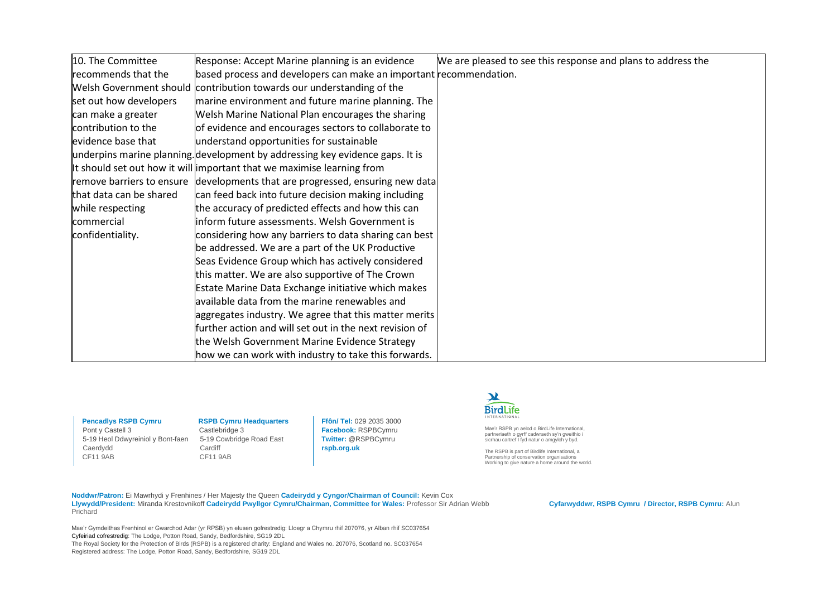| 10. The Committee       | Response: Accept Marine planning is an evidence                               | We are pleased to see this response and plans to address the |
|-------------------------|-------------------------------------------------------------------------------|--------------------------------------------------------------|
| recommends that the     | based process and developers can make an important recommendation.            |                                                              |
|                         | Welsh Government should contribution towards our understanding of the         |                                                              |
| set out how developers  | marine environment and future marine planning. The                            |                                                              |
| can make a greater      | Welsh Marine National Plan encourages the sharing                             |                                                              |
| contribution to the     | of evidence and encourages sectors to collaborate to                          |                                                              |
| evidence base that      | understand opportunities for sustainable                                      |                                                              |
|                         | underpins marine planning. development by addressing key evidence gaps. It is |                                                              |
|                         | It should set out how it will important that we maximise learning from        |                                                              |
|                         | remove barriers to ensure developments that are progressed, ensuring new data |                                                              |
| that data can be shared | can feed back into future decision making including                           |                                                              |
| while respecting        | the accuracy of predicted effects and how this can                            |                                                              |
| commercial              | inform future assessments. Welsh Government is                                |                                                              |
| confidentiality.        | considering how any barriers to data sharing can best                         |                                                              |
|                         | be addressed. We are a part of the UK Productive                              |                                                              |
|                         | Seas Evidence Group which has actively considered                             |                                                              |
|                         | this matter. We are also supportive of The Crown                              |                                                              |
|                         | Estate Marine Data Exchange initiative which makes                            |                                                              |
|                         | available data from the marine renewables and                                 |                                                              |
|                         | aggregates industry. We agree that this matter merits                         |                                                              |
|                         | further action and will set out in the next revision of                       |                                                              |
|                         | the Welsh Government Marine Evidence Strategy                                 |                                                              |
|                         | how we can work with industry to take this forwards.                          |                                                              |

Pont y Castell 3<br>
5-19 Heol Ddwyreiniol y Bont-faen 5-19 Cowbridge Road East 5-19 Heol Ddwyreiniol y Bont-faen Caerdydd Cardiff<br>CF11 9AB CF11 9AB  $CF119AB$ 

**Pencadlys RSPB Cymru RSPB Cymru Headquarters**<br>
Pont v Castell 3 Castlebridge 3

**Ffôn/ Tel:** 029 2035 3000 **Facebook:** RSPBCymru **Twitter:** @RSPBCymru **rspb.org.uk**



Mae'r RSPB yn aelod o BirdLife International, partneriaeth o gyrff cadwraeth sy'n gweithio i sicrhau cartref I fyd natur o amgylch y byd.

The RSPB is part of Birdlife International, a Partnership of conservation organisations Working to give nature a home around the world.

**Noddwr/Patron:** Ei Mawrhydi y Frenhines / Her Majesty the Queen **Cadeirydd y Cyngor/Chairman of Council:** Kevin Cox **Llywydd/President:** Miranda Krestovnikoff **Cadeirydd Pwyllgor Cymru/Chairman, Committee for Wales:** Professor Sir Adrian Webb **Cyfarwyddwr, RSPB Cymru / Director, RSPB Cymru:** Alun Prichard

Mae'r Gymdeithas Frenhinol er Gwarchod Adar (yr RPSB) yn elusen gofrestredig: Lloegr a Chymru rhif 207076, yr Alban rhif SC037654 Cyfeiriad cofrestredig: The Lodge, Potton Road, Sandy, Bedfordshire, SG19 2DL The Royal Society for the Protection of Birds (RSPB) is a registered charity: England and Wales no. 207076, Scotland no. SC037654 Registered address: The Lodge, Potton Road, Sandy, Bedfordshire, SG19 2DL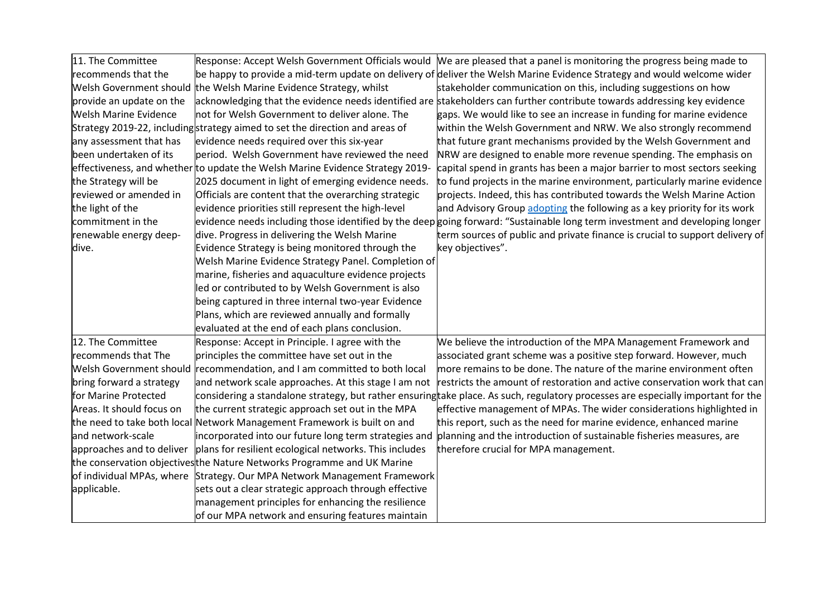| 11. The Committee            | Response: Accept Welsh Government Officials would                             | We are pleased that a panel is monitoring the progress being made to                                                             |
|------------------------------|-------------------------------------------------------------------------------|----------------------------------------------------------------------------------------------------------------------------------|
| recommends that the          |                                                                               | be happy to provide a mid-term update on delivery of deliver the Welsh Marine Evidence Strategy and would welcome wider          |
|                              | Welsh Government should the Welsh Marine Evidence Strategy, whilst            | stakeholder communication on this, including suggestions on how                                                                  |
| provide an update on the     |                                                                               | acknowledging that the evidence needs identified are stakeholders can further contribute towards addressing key evidence         |
| <b>Welsh Marine Evidence</b> | not for Welsh Government to deliver alone. The                                | gaps. We would like to see an increase in funding for marine evidence                                                            |
|                              | Strategy 2019-22, including strategy aimed to set the direction and areas of  | within the Welsh Government and NRW. We also strongly recommend                                                                  |
| any assessment that has      | evidence needs required over this six-year                                    | that future grant mechanisms provided by the Welsh Government and                                                                |
| been undertaken of its       | period. Welsh Government have reviewed the need                               | NRW are designed to enable more revenue spending. The emphasis on                                                                |
|                              | effectiveness, and whether to update the Welsh Marine Evidence Strategy 2019- | capital spend in grants has been a major barrier to most sectors seeking                                                         |
| the Strategy will be         | 2025 document in light of emerging evidence needs.                            | to fund projects in the marine environment, particularly marine evidence                                                         |
| reviewed or amended in       | Officials are content that the overarching strategic                          | projects. Indeed, this has contributed towards the Welsh Marine Action                                                           |
| the light of the             | evidence priorities still represent the high-level                            | and Advisory Group adopting the following as a key priority for its work                                                         |
| commitment in the            |                                                                               | evidence needs including those identified by the deep going forward: "Sustainable long term investment and developing longer     |
| renewable energy deep-       | dive. Progress in delivering the Welsh Marine                                 | term sources of public and private finance is crucial to support delivery of                                                     |
| dive.                        | Evidence Strategy is being monitored through the                              | key objectives".                                                                                                                 |
|                              | Welsh Marine Evidence Strategy Panel. Completion of                           |                                                                                                                                  |
|                              | marine, fisheries and aquaculture evidence projects                           |                                                                                                                                  |
|                              | led or contributed to by Welsh Government is also                             |                                                                                                                                  |
|                              | being captured in three internal two-year Evidence                            |                                                                                                                                  |
|                              | Plans, which are reviewed annually and formally                               |                                                                                                                                  |
|                              | evaluated at the end of each plans conclusion.                                |                                                                                                                                  |
| 12. The Committee            | Response: Accept in Principle. I agree with the                               | We believe the introduction of the MPA Management Framework and                                                                  |
| recommends that The          | principles the committee have set out in the                                  | associated grant scheme was a positive step forward. However, much                                                               |
|                              | Welsh Government should recommendation, and I am committed to both local      | more remains to be done. The nature of the marine environment often                                                              |
| bring forward a strategy     | and network scale approaches. At this stage I am not                          | restricts the amount of restoration and active conservation work that can                                                        |
| for Marine Protected         |                                                                               | considering a standalone strategy, but rather ensuringtake place. As such, regulatory processes are especially important for the |
| Areas. It should focus on    | the current strategic approach set out in the MPA                             | effective management of MPAs. The wider considerations highlighted in                                                            |
|                              | the need to take both local Network Management Framework is built on and      | this report, such as the need for marine evidence, enhanced marine                                                               |
| and network-scale            | incorporated into our future long term strategies and                         | planning and the introduction of sustainable fisheries measures, are                                                             |
| approaches and to deliver    | plans for resilient ecological networks. This includes                        | therefore crucial for MPA management.                                                                                            |
|                              | the conservation objectivesthe Nature Networks Programme and UK Marine        |                                                                                                                                  |
|                              | of individual MPAs, where Strategy. Our MPA Network Management Framework      |                                                                                                                                  |
| applicable.                  | sets out a clear strategic approach through effective                         |                                                                                                                                  |
|                              | management principles for enhancing the resilience                            |                                                                                                                                  |
|                              | of our MPA network and ensuring features maintain                             |                                                                                                                                  |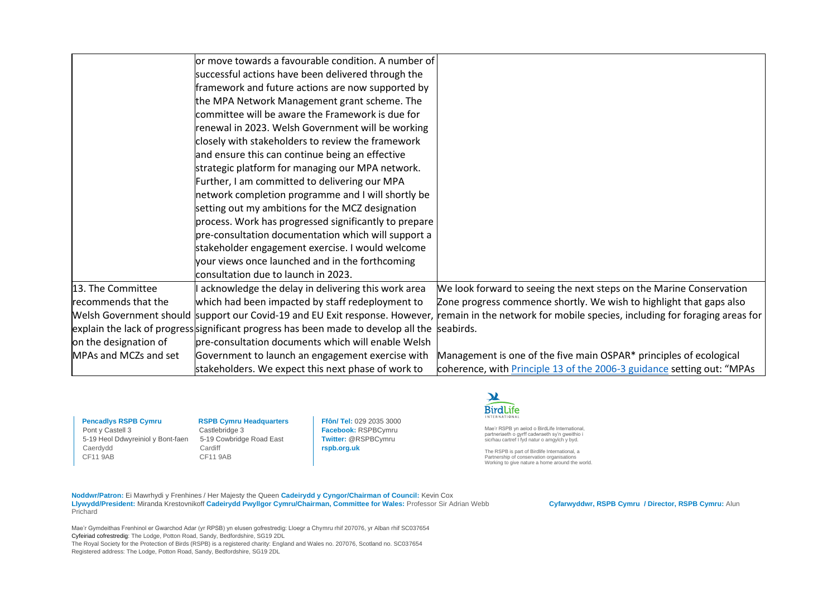|                       | or move towards a favourable condition. A number of                                |                                                                            |
|-----------------------|------------------------------------------------------------------------------------|----------------------------------------------------------------------------|
|                       | successful actions have been delivered through the                                 |                                                                            |
|                       | framework and future actions are now supported by                                  |                                                                            |
|                       | the MPA Network Management grant scheme. The                                       |                                                                            |
|                       | committee will be aware the Framework is due for                                   |                                                                            |
|                       | renewal in 2023. Welsh Government will be working                                  |                                                                            |
|                       | closely with stakeholders to review the framework                                  |                                                                            |
|                       | and ensure this can continue being an effective                                    |                                                                            |
|                       | strategic platform for managing our MPA network.                                   |                                                                            |
|                       | Further, I am committed to delivering our MPA                                      |                                                                            |
|                       | network completion programme and I will shortly be                                 |                                                                            |
|                       | setting out my ambitions for the MCZ designation                                   |                                                                            |
|                       | process. Work has progressed significantly to prepare                              |                                                                            |
|                       | pre-consultation documentation which will support a                                |                                                                            |
|                       | stakeholder engagement exercise. I would welcome                                   |                                                                            |
|                       | your views once launched and in the forthcoming                                    |                                                                            |
|                       | consultation due to launch in 2023.                                                |                                                                            |
| 13. The Committee     | acknowledge the delay in delivering this work area                                 | We look forward to seeing the next steps on the Marine Conservation        |
| recommends that the   | which had been impacted by staff redeployment to                                   | Zone progress commence shortly. We wish to highlight that gaps also        |
|                       | Welsh Government should support our Covid-19 and EU Exit response. However,        | remain in the network for mobile species, including for foraging areas for |
|                       | explain the lack of progress significant progress has been made to develop all the | seabirds.                                                                  |
| on the designation of | pre-consultation documents which will enable Welsh                                 |                                                                            |
| MPAs and MCZs and set | Government to launch an engagement exercise with                                   | Management is one of the five main OSPAR* principles of ecological         |
|                       | stakeholders. We expect this next phase of work to                                 | coherence, with Principle 13 of the 2006-3 guidance setting out: "MPAs     |
|                       |                                                                                    |                                                                            |

Pont y Castell 3<br>
5-19 Heol Ddwyreiniol y Bont-faen 5-19 Cowbridge Road East 5-19 Heol Ddwyreiniol y Bont-faen Caerdydd Cardiff<br>CF11 9AB CF11 9AB  $CF119AB$ 

**Pencadlys RSPB Cymru RSPB Cymru Headquarters**<br>
Pont v Castell 3 Castlebridge 3

**Ffôn/ Tel:** 029 2035 3000 **Facebook:** RSPBCymru **Twitter:** @RSPBCymru **rspb.org.uk**



Mae'r RSPB yn aelod o BirdLife International, partneriaeth o gyrff cadwraeth sy'n gweithio i sicrhau cartref I fyd natur o amgylch y byd.

The RSPB is part of Birdlife International, a Partnership of conservation organisations Working to give nature a home around the world.

**Noddwr/Patron:** Ei Mawrhydi y Frenhines / Her Majesty the Queen **Cadeirydd y Cyngor/Chairman of Council:** Kevin Cox **Llywydd/President:** Miranda Krestovnikoff **Cadeirydd Pwyllgor Cymru/Chairman, Committee for Wales:** Professor Sir Adrian Webb **Cyfarwyddwr, RSPB Cymru / Director, RSPB Cymru:** Alun Prichard

Mae'r Gymdeithas Frenhinol er Gwarchod Adar (yr RPSB) yn elusen gofrestredig: Lloegr a Chymru rhif 207076, yr Alban rhif SC037654 Cyfeiriad cofrestredig: The Lodge, Potton Road, Sandy, Bedfordshire, SG19 2DL The Royal Society for the Protection of Birds (RSPB) is a registered charity: England and Wales no. 207076, Scotland no. SC037654 Registered address: The Lodge, Potton Road, Sandy, Bedfordshire, SG19 2DL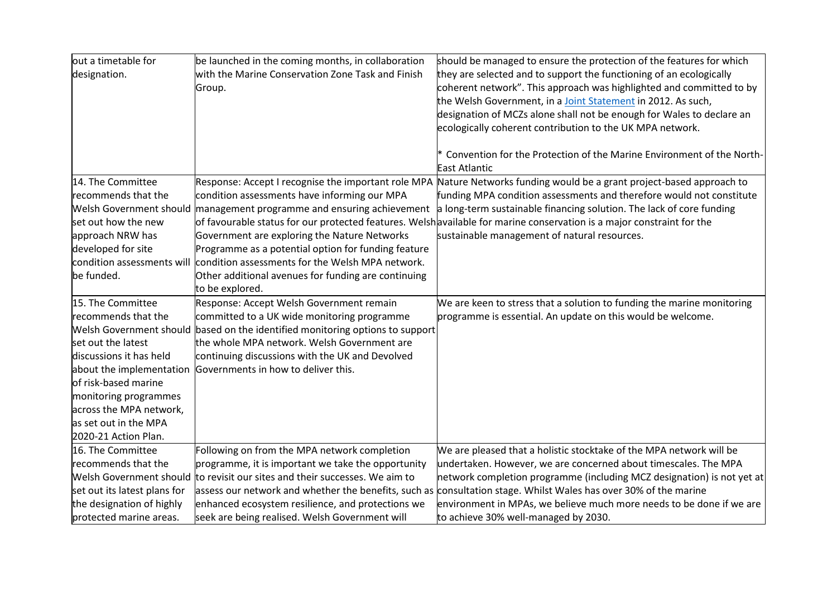| out a timetable for          | be launched in the coming months, in collaboration                            | should be managed to ensure the protection of the features for which                                                  |
|------------------------------|-------------------------------------------------------------------------------|-----------------------------------------------------------------------------------------------------------------------|
| designation.                 | with the Marine Conservation Zone Task and Finish                             | they are selected and to support the functioning of an ecologically                                                   |
|                              | Group.                                                                        | coherent network". This approach was highlighted and committed to by                                                  |
|                              |                                                                               | the Welsh Government, in a Joint Statement in 2012. As such,                                                          |
|                              |                                                                               | designation of MCZs alone shall not be enough for Wales to declare an                                                 |
|                              |                                                                               | ecologically coherent contribution to the UK MPA network.                                                             |
|                              |                                                                               |                                                                                                                       |
|                              |                                                                               | * Convention for the Protection of the Marine Environment of the North-                                               |
|                              |                                                                               | <b>East Atlantic</b>                                                                                                  |
| 14. The Committee            | Response: Accept I recognise the important role MPA                           | Nature Networks funding would be a grant project-based approach to                                                    |
| recommends that the          | condition assessments have informing our MPA                                  | funding MPA condition assessments and therefore would not constitute                                                  |
|                              | Welsh Government should management programme and ensuring achievement         | a long-term sustainable financing solution. The lack of core funding                                                  |
| set out how the new          |                                                                               | of favourable status for our protected features. Welshavailable for marine conservation is a major constraint for the |
| approach NRW has             | Government are exploring the Nature Networks                                  | sustainable management of natural resources.                                                                          |
| developed for site           | Programme as a potential option for funding feature                           |                                                                                                                       |
| condition assessments will   | condition assessments for the Welsh MPA network.                              |                                                                                                                       |
| be funded.                   | Other additional avenues for funding are continuing                           |                                                                                                                       |
|                              | to be explored.                                                               |                                                                                                                       |
| 15. The Committee            | Response: Accept Welsh Government remain                                      | We are keen to stress that a solution to funding the marine monitoring                                                |
| recommends that the          | committed to a UK wide monitoring programme                                   | programme is essential. An update on this would be welcome.                                                           |
|                              | Welsh Government should based on the identified monitoring options to support |                                                                                                                       |
| set out the latest           | the whole MPA network. Welsh Government are                                   |                                                                                                                       |
| discussions it has held      | continuing discussions with the UK and Devolved                               |                                                                                                                       |
| about the implementation     | Governments in how to deliver this.                                           |                                                                                                                       |
| of risk-based marine         |                                                                               |                                                                                                                       |
| monitoring programmes        |                                                                               |                                                                                                                       |
| across the MPA network,      |                                                                               |                                                                                                                       |
| as set out in the MPA        |                                                                               |                                                                                                                       |
| 2020-21 Action Plan.         |                                                                               |                                                                                                                       |
| 16. The Committee            | Following on from the MPA network completion                                  | We are pleased that a holistic stocktake of the MPA network will be                                                   |
| recommends that the          | programme, it is important we take the opportunity                            | undertaken. However, we are concerned about timescales. The MPA                                                       |
| Welsh Government should      | to revisit our sites and their successes. We aim to                           | network completion programme (including MCZ designation) is not yet at                                                |
| set out its latest plans for |                                                                               | assess our network and whether the benefits, such as consultation stage. Whilst Wales has over 30% of the marine      |
| the designation of highly    | enhanced ecosystem resilience, and protections we                             | environment in MPAs, we believe much more needs to be done if we are                                                  |
| protected marine areas.      | seek are being realised. Welsh Government will                                | to achieve 30% well-managed by 2030.                                                                                  |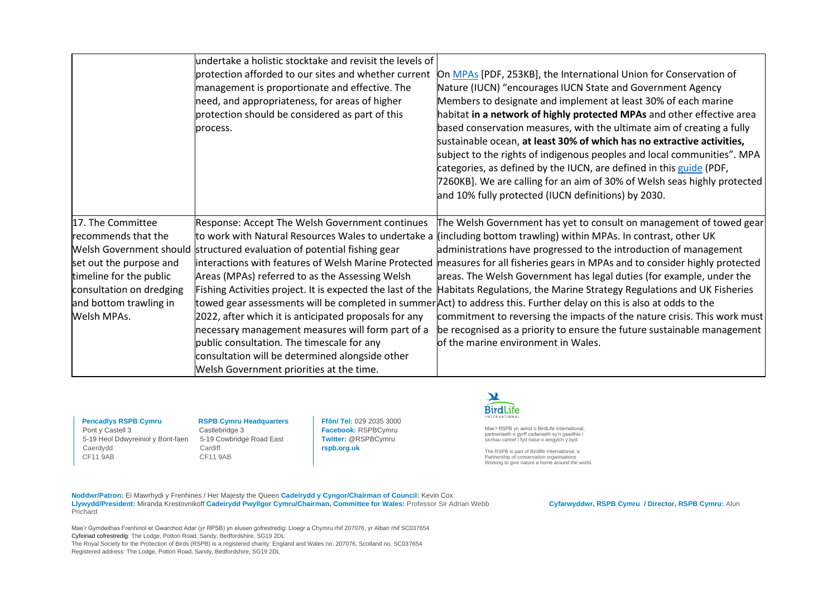|                          | undertake a holistic stocktake and revisit the levels of                |                                                                                                                                |
|--------------------------|-------------------------------------------------------------------------|--------------------------------------------------------------------------------------------------------------------------------|
|                          | protection afforded to our sites and whether current                    | On MPAs [PDF, 253KB], the International Union for Conservation of                                                              |
|                          | management is proportionate and effective. The                          | Nature (IUCN) "encourages IUCN State and Government Agency                                                                     |
|                          | need, and appropriateness, for areas of higher                          | Members to designate and implement at least 30% of each marine                                                                 |
|                          | protection should be considered as part of this                         | habitat in a network of highly protected MPAs and other effective area                                                         |
|                          | process.                                                                | based conservation measures, with the ultimate aim of creating a fully                                                         |
|                          |                                                                         | sustainable ocean, at least 30% of which has no extractive activities,                                                         |
|                          |                                                                         | subject to the rights of indigenous peoples and local communities". MPA                                                        |
|                          |                                                                         | categories, as defined by the IUCN, are defined in this guide (PDF,                                                            |
|                          |                                                                         | 7260KB]. We are calling for an aim of 30% of Welsh seas highly protected                                                       |
|                          |                                                                         | and 10% fully protected (IUCN definitions) by 2030.                                                                            |
|                          |                                                                         |                                                                                                                                |
| 17. The Committee        | Response: Accept The Welsh Government continues                         | The Welsh Government has yet to consult on management of towed gear                                                            |
| recommends that the      |                                                                         | to work with Natural Resources Wales to undertake a ((including bottom trawling) within MPAs. In contrast, other UK            |
|                          | Welsh Government should structured evaluation of potential fishing gear | administrations have progressed to the introduction of management                                                              |
| set out the purpose and  |                                                                         | interactions with features of Welsh Marine Protected measures for all fisheries gears in MPAs and to consider highly protected |
| timeline for the public  | Areas (MPAs) referred to as the Assessing Welsh                         | areas. The Welsh Government has legal duties (for example, under the                                                           |
| consultation on dredging | Fishing Activities project. It is expected the last of the              | Habitats Regulations, the Marine Strategy Regulations and UK Fisheries                                                         |
| and bottom trawling in   |                                                                         | towed gear assessments will be completed in summer Act) to address this. Further delay on this is also at odds to the          |
| Welsh MPAs.              | 2022, after which it is anticipated proposals for any                   | commitment to reversing the impacts of the nature crisis. This work must                                                       |
|                          | necessary management measures will form part of a                       | be recognised as a priority to ensure the future sustainable management                                                        |
|                          | public consultation. The timescale for any                              | of the marine environment in Wales.                                                                                            |
|                          | consultation will be determined alongside other                         |                                                                                                                                |
|                          | Welsh Government priorities at the time.                                |                                                                                                                                |

Pont y Castell 3<br>
5-19 Heol Ddwyreiniol y Bont-faen 5-19 Cowbridge Road East 5-19 Heol Ddwyreiniol y Bont-faen Caerdydd Cardiff<br>CF11 9AB CF11 9AB  $CF119AB$ 

**Pencadlys RSPB Cymru RSPB Cymru Headquarters**<br>
Pont v Castell 3 Castlebridge 3

**Ffôn/ Tel:** 029 2035 3000 **Facebook:** RSPBCymru **Twitter:** @RSPBCymru **rspb.org.uk**



Mae'r RSPB yn aelod o BirdLife International, partneriaeth o gyrff cadwraeth sy'n gweithio i sicrhau cartref I fyd natur o amgylch y byd.

The RSPB is part of Birdlife International, a Partnership of conservation organisations Working to give nature a home around the world.

**Noddwr/Patron:** Ei Mawrhydi y Frenhines / Her Majesty the Queen **Cadeirydd y Cyngor/Chairman of Council:** Kevin Cox **Llywydd/President:** Miranda Krestovnikoff **Cadeirydd Pwyllgor Cymru/Chairman, Committee for Wales:** Professor Sir Adrian Webb **Cyfarwyddwr, RSPB Cymru / Director, RSPB Cymru:** Alun Prichard

Mae'r Gymdeithas Frenhinol er Gwarchod Adar (yr RPSB) yn elusen gofrestredig: Lloegr a Chymru rhif 207076, yr Alban rhif SC037654 Cyfeiriad cofrestredig: The Lodge, Potton Road, Sandy, Bedfordshire, SG19 2DL The Royal Society for the Protection of Birds (RSPB) is a registered charity: England and Wales no. 207076, Scotland no. SC037654 Registered address: The Lodge, Potton Road, Sandy, Bedfordshire, SG19 2DL